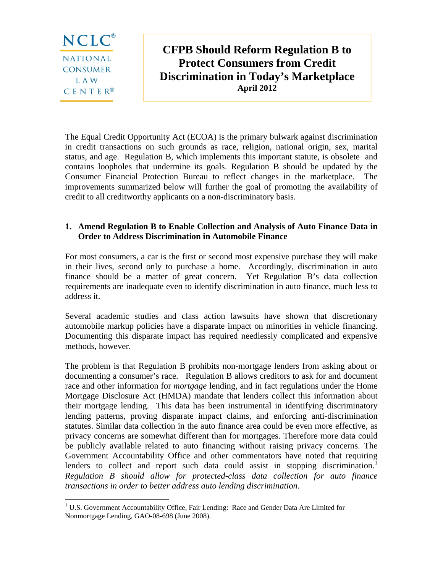

1

**CFPB Should Reform Regulation B to Protect Consumers from Credit Discrimination in Today's Marketplace April 2012** 

The Equal Credit Opportunity Act (ECOA) is the primary bulwark against discrimination in credit transactions on such grounds as race, religion, national origin, sex, marital status, and age. Regulation B, which implements this important statute, is obsolete and contains loopholes that undermine its goals. Regulation B should be updated by the Consumer Financial Protection Bureau to reflect changes in the marketplace. The improvements summarized below will further the goal of promoting the availability of credit to all creditworthy applicants on a non-discriminatory basis.

#### **1. Amend Regulation B to Enable Collection and Analysis of Auto Finance Data in Order to Address Discrimination in Automobile Finance**

For most consumers, a car is the first or second most expensive purchase they will make in their lives, second only to purchase a home. Accordingly, discrimination in auto finance should be a matter of great concern. Yet Regulation B's data collection requirements are inadequate even to identify discrimination in auto finance, much less to address it.

Several academic studies and class action lawsuits have shown that discretionary automobile markup policies have a disparate impact on minorities in vehicle financing. Documenting this disparate impact has required needlessly complicated and expensive methods, however.

The problem is that Regulation B prohibits non-mortgage lenders from asking about or documenting a consumer's race. Regulation B allows creditors to ask for and document race and other information for *mortgage* lending, and in fact regulations under the Home Mortgage Disclosure Act (HMDA) mandate that lenders collect this information about their mortgage lending. This data has been instrumental in identifying discriminatory lending patterns, proving disparate impact claims, and enforcing anti-discrimination statutes. Similar data collection in the auto finance area could be even more effective, as privacy concerns are somewhat different than for mortgages. Therefore more data could be publicly available related to auto financing without raising privacy concerns. The Government Accountability Office and other commentators have noted that requiring lenders to collect and report such data could assist in stopping discrimination.<sup>1</sup> *Regulation B should allow for protected-class data collection for auto finance transactions in order to better address auto lending discrimination.* 

<sup>&</sup>lt;sup>1</sup> U.S. Government Accountability Office, Fair Lending: Race and Gender Data Are Limited for Nonmortgage Lending, GAO-08-698 (June 2008).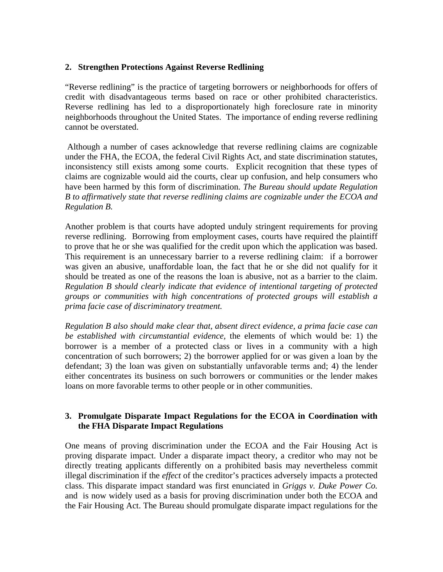#### **2. Strengthen Protections Against Reverse Redlining**

"Reverse redlining" is the practice of targeting borrowers or neighborhoods for offers of credit with disadvantageous terms based on race or other prohibited characteristics. Reverse redlining has led to a disproportionately high foreclosure rate in minority neighborhoods throughout the United States. The importance of ending reverse redlining cannot be overstated.

 Although a number of cases acknowledge that reverse redlining claims are cognizable under the FHA, the ECOA, the federal Civil Rights Act, and state discrimination statutes, inconsistency still exists among some courts. Explicit recognition that these types of claims are cognizable would aid the courts, clear up confusion, and help consumers who have been harmed by this form of discrimination. *The Bureau should update Regulation B to affirmatively state that reverse redlining claims are cognizable under the ECOA and Regulation B.*

Another problem is that courts have adopted unduly stringent requirements for proving reverse redlining. Borrowing from employment cases, courts have required the plaintiff to prove that he or she was qualified for the credit upon which the application was based. This requirement is an unnecessary barrier to a reverse redlining claim: if a borrower was given an abusive, unaffordable loan, the fact that he or she did not qualify for it should be treated as one of the reasons the loan is abusive, not as a barrier to the claim. *Regulation B should clearly indicate that evidence of intentional targeting of protected groups or communities with high concentrations of protected groups will establish a prima facie case of discriminatory treatment.*

*Regulation B also should make clear that, absent direct evidence, a prima facie case can be established with circumstantial evidence,* the elements of which would be: 1) the borrower is a member of a protected class or lives in a community with a high concentration of such borrowers; 2) the borrower applied for or was given a loan by the defendant; 3) the loan was given on substantially unfavorable terms and; 4) the lender either concentrates its business on such borrowers or communities or the lender makes loans on more favorable terms to other people or in other communities.

# **3. Promulgate Disparate Impact Regulations for the ECOA in Coordination with the FHA Disparate Impact Regulations**

One means of proving discrimination under the ECOA and the Fair Housing Act is proving disparate impact. Under a disparate impact theory, a creditor who may not be directly treating applicants differently on a prohibited basis may nevertheless commit illegal discrimination if the *effect* of the creditor's practices adversely impacts a protected class. This disparate impact standard was first enunciated in *Griggs v. Duke Power Co.* and is now widely used as a basis for proving discrimination under both the ECOA and the Fair Housing Act. The Bureau should promulgate disparate impact regulations for the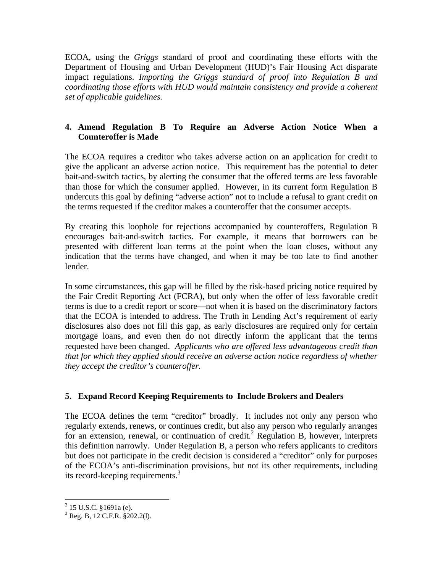ECOA, using the *Griggs* standard of proof and coordinating these efforts with the Department of Housing and Urban Development (HUD)'s Fair Housing Act disparate impact regulations. *Importing the Griggs standard of proof into Regulation B and coordinating those efforts with HUD would maintain consistency and provide a coherent set of applicable guidelines.* 

# **4. Amend Regulation B To Require an Adverse Action Notice When a Counteroffer is Made**

The ECOA requires a creditor who takes adverse action on an application for credit to give the applicant an adverse action notice. This requirement has the potential to deter bait-and-switch tactics, by alerting the consumer that the offered terms are less favorable than those for which the consumer applied. However, in its current form Regulation B undercuts this goal by defining "adverse action" not to include a refusal to grant credit on the terms requested if the creditor makes a counteroffer that the consumer accepts.

By creating this loophole for rejections accompanied by counteroffers, Regulation B encourages bait-and-switch tactics. For example, it means that borrowers can be presented with different loan terms at the point when the loan closes, without any indication that the terms have changed, and when it may be too late to find another lender.

In some circumstances, this gap will be filled by the risk-based pricing notice required by the Fair Credit Reporting Act (FCRA), but only when the offer of less favorable credit terms is due to a credit report or score—not when it is based on the discriminatory factors that the ECOA is intended to address. The Truth in Lending Act's requirement of early disclosures also does not fill this gap, as early disclosures are required only for certain mortgage loans, and even then do not directly inform the applicant that the terms requested have been changed. *Applicants who are offered less advantageous credit than that for which they applied should receive an adverse action notice regardless of whether they accept the creditor's counteroffer.* 

# **5. Expand Record Keeping Requirements to Include Brokers and Dealers**

The ECOA defines the term "creditor" broadly. It includes not only any person who regularly extends, renews, or continues credit, but also any person who regularly arranges for an extension, renewal, or continuation of credit.<sup>2</sup> Regulation B, however, interprets this definition narrowly. Under Regulation B, a person who refers applicants to creditors but does not participate in the credit decision is considered a "creditor" only for purposes of the ECOA's anti-discrimination provisions, but not its other requirements, including its record-keeping requirements.<sup>3</sup>

 2 15 U.S.C. §1691a (e).

<sup>3</sup> Reg. B, 12 C.F.R. §202.2(l).